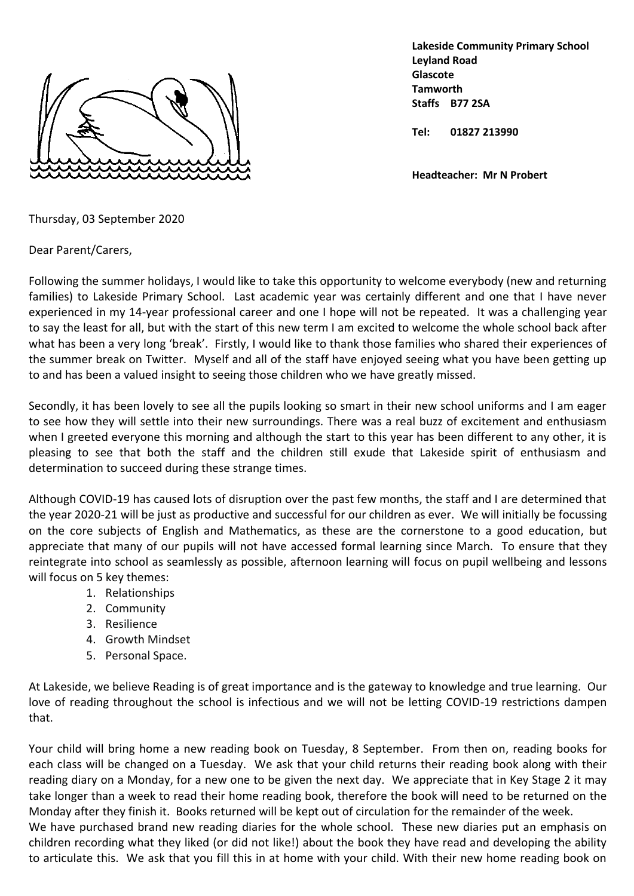

**Lakeside Community Primary School Leyland Road Glascote Tamworth Staffs B77 2SA**

**Tel: 01827 213990**

**Headteacher: Mr N Probert**

Thursday, 03 September 2020

Dear Parent/Carers,

Following the summer holidays, I would like to take this opportunity to welcome everybody (new and returning families) to Lakeside Primary School. Last academic year was certainly different and one that I have never experienced in my 14-year professional career and one I hope will not be repeated. It was a challenging year to say the least for all, but with the start of this new term I am excited to welcome the whole school back after what has been a very long 'break'. Firstly, I would like to thank those families who shared their experiences of the summer break on Twitter. Myself and all of the staff have enjoyed seeing what you have been getting up to and has been a valued insight to seeing those children who we have greatly missed.

Secondly, it has been lovely to see all the pupils looking so smart in their new school uniforms and I am eager to see how they will settle into their new surroundings. There was a real buzz of excitement and enthusiasm when I greeted everyone this morning and although the start to this year has been different to any other, it is pleasing to see that both the staff and the children still exude that Lakeside spirit of enthusiasm and determination to succeed during these strange times.

Although COVID-19 has caused lots of disruption over the past few months, the staff and I are determined that the year 2020-21 will be just as productive and successful for our children as ever. We will initially be focussing on the core subjects of English and Mathematics, as these are the cornerstone to a good education, but appreciate that many of our pupils will not have accessed formal learning since March. To ensure that they reintegrate into school as seamlessly as possible, afternoon learning will focus on pupil wellbeing and lessons will focus on 5 key themes:

- 1. Relationships
- 2. Community
- 3. Resilience
- 4. Growth Mindset
- 5. Personal Space.

At Lakeside, we believe Reading is of great importance and is the gateway to knowledge and true learning. Our love of reading throughout the school is infectious and we will not be letting COVID-19 restrictions dampen that.

Your child will bring home a new reading book on Tuesday, 8 September. From then on, reading books for each class will be changed on a Tuesday. We ask that your child returns their reading book along with their reading diary on a Monday, for a new one to be given the next day. We appreciate that in Key Stage 2 it may take longer than a week to read their home reading book, therefore the book will need to be returned on the Monday after they finish it. Books returned will be kept out of circulation for the remainder of the week. We have purchased brand new reading diaries for the whole school. These new diaries put an emphasis on

children recording what they liked (or did not like!) about the book they have read and developing the ability to articulate this. We ask that you fill this in at home with your child. With their new home reading book on